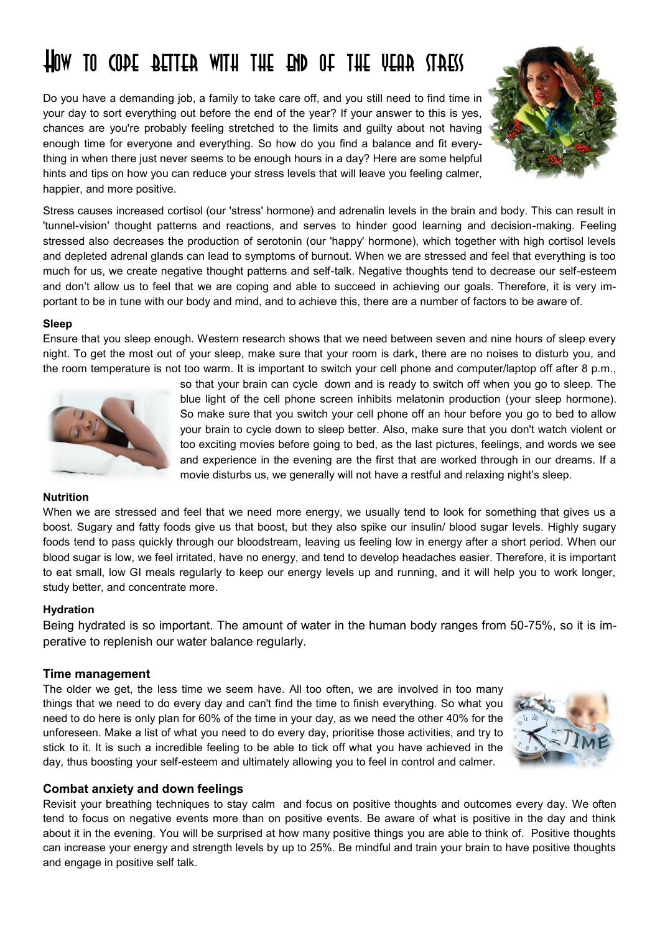# How to cope better with the end of the year stress

Do you have a demanding job, a family to take care off, and you still need to find time in your day to sort everything out before the end of the year? If your answer to this is yes, chances are you're probably feeling stretched to the limits and guilty about not having enough time for everyone and everything. So how do you find a balance and fit everything in when there just never seems to be enough hours in a day? Here are some helpful hints and tips on how you can reduce your stress levels that will leave you feeling calmer, happier, and more positive.



Stress causes increased cortisol (our 'stress' hormone) and adrenalin levels in the brain and body. This can result in 'tunnel-vision' thought patterns and reactions, and serves to hinder good learning and decision-making. Feeling stressed also decreases the production of serotonin (our 'happy' hormone), which together with high cortisol levels and depleted adrenal glands can lead to symptoms of burnout. When we are stressed and feel that everything is too much for us, we create negative thought patterns and self-talk. Negative thoughts tend to decrease our self-esteem and don't allow us to feel that we are coping and able to succeed in achieving our goals. Therefore, it is very important to be in tune with our body and mind, and to achieve this, there are a number of factors to be aware of.

### **Sleep**

Ensure that you sleep enough. Western research shows that we need between seven and nine hours of sleep every night. To get the most out of your sleep, make sure that your room is dark, there are no noises to disturb you, and the room temperature is not too warm. It is important to switch your cell phone and computer/laptop off after 8 p.m.,



so that your brain can cycle down and is ready to switch off when you go to sleep. The blue light of the cell phone screen inhibits melatonin production (your sleep hormone). So make sure that you switch your cell phone off an hour before you go to bed to allow your brain to cycle down to sleep better. Also, make sure that you don't watch violent or too exciting movies before going to bed, as the last pictures, feelings, and words we see and experience in the evening are the first that are worked through in our dreams. If a movie disturbs us, we generally will not have a restful and relaxing night's sleep.

## **Nutrition**

When we are stressed and feel that we need more energy, we usually tend to look for something that gives us a boost. Sugary and fatty foods give us that boost, but they also spike our insulin/ blood sugar levels. Highly sugary foods tend to pass quickly through our bloodstream, leaving us feeling low in energy after a short period. When our blood sugar is low, we feel irritated, have no energy, and tend to develop headaches easier. Therefore, it is important to eat small, low GI meals regularly to keep our energy levels up and running, and it will help you to work longer, study better, and concentrate more.

## **Hydration**

Being hydrated is so important. The amount of water in the human body ranges from 50-75%, so it is imperative to replenish our water balance regularly.

#### **Time management**

The older we get, the less time we seem have. All too often, we are involved in too many things that we need to do every day and can't find the time to finish everything. So what you need to do here is only plan for 60% of the time in your day, as we need the other 40% for the unforeseen. Make a list of what you need to do every day, prioritise those activities, and try to stick to it. It is such a incredible feeling to be able to tick off what you have achieved in the day, thus boosting your self-esteem and ultimately allowing you to feel in control and calmer.



## **Combat anxiety and down feelings**

Revisit your breathing techniques to stay calm and focus on positive thoughts and outcomes every day. We often tend to focus on negative events more than on positive events. Be aware of what is positive in the day and think about it in the evening. You will be surprised at how many positive things you are able to think of. Positive thoughts can increase your energy and strength levels by up to 25%. Be mindful and train your brain to have positive thoughts and engage in positive self talk.